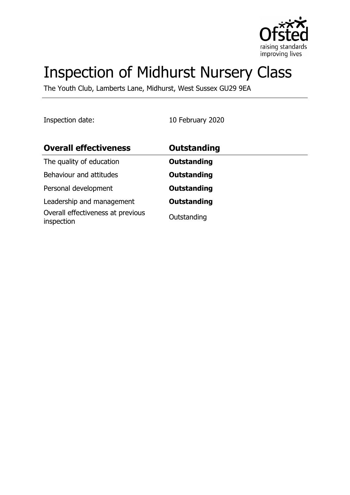

# Inspection of Midhurst Nursery Class

The Youth Club, Lamberts Lane, Midhurst, West Sussex GU29 9EA

Inspection date: 10 February 2020

| <b>Overall effectiveness</b>                    | Outstanding        |
|-------------------------------------------------|--------------------|
| The quality of education                        | <b>Outstanding</b> |
| Behaviour and attitudes                         | <b>Outstanding</b> |
| Personal development                            | <b>Outstanding</b> |
| Leadership and management                       | <b>Outstanding</b> |
| Overall effectiveness at previous<br>inspection | Outstanding        |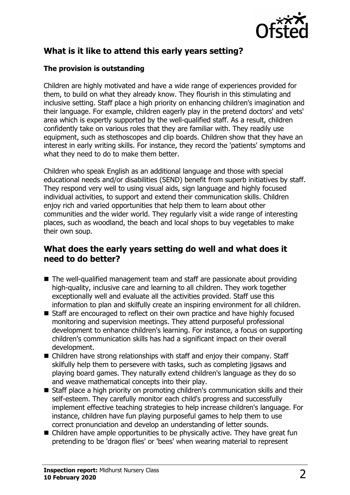

## **What is it like to attend this early years setting?**

#### **The provision is outstanding**

Children are highly motivated and have a wide range of experiences provided for them, to build on what they already know. They flourish in this stimulating and inclusive setting. Staff place a high priority on enhancing children's imagination and their language. For example, children eagerly play in the pretend doctors' and vets' area which is expertly supported by the well-qualified staff. As a result, children confidently take on various roles that they are familiar with. They readily use equipment, such as stethoscopes and clip boards. Children show that they have an interest in early writing skills. For instance, they record the 'patients' symptoms and what they need to do to make them better.

Children who speak English as an additional language and those with special educational needs and/or disabilities (SEND) benefit from superb initiatives by staff. They respond very well to using visual aids, sign language and highly focused individual activities, to support and extend their communication skills. Children enjoy rich and varied opportunities that help them to learn about other communities and the wider world. They regularly visit a wide range of interesting places, such as woodland, the beach and local shops to buy vegetables to make their own soup.

### **What does the early years setting do well and what does it need to do better?**

- $\blacksquare$  The well-qualified management team and staff are passionate about providing high-quality, inclusive care and learning to all children. They work together exceptionally well and evaluate all the activities provided. Staff use this information to plan and skilfully create an inspiring environment for all children.
- $\blacksquare$  Staff are encouraged to reflect on their own practice and have highly focused monitoring and supervision meetings. They attend purposeful professional development to enhance children's learning. For instance, a focus on supporting children's communication skills has had a significant impact on their overall development.
- $\blacksquare$  Children have strong relationships with staff and enjoy their company. Staff skilfully help them to persevere with tasks, such as completing jigsaws and playing board games. They naturally extend children's language as they do so and weave mathematical concepts into their play.
- Staff place a high priority on promoting children's communication skills and their self-esteem. They carefully monitor each child's progress and successfully implement effective teaching strategies to help increase children's language. For instance, children have fun playing purposeful games to help them to use correct pronunciation and develop an understanding of letter sounds.
- $\blacksquare$  Children have ample opportunities to be physically active. They have great fun pretending to be 'dragon flies' or 'bees' when wearing material to represent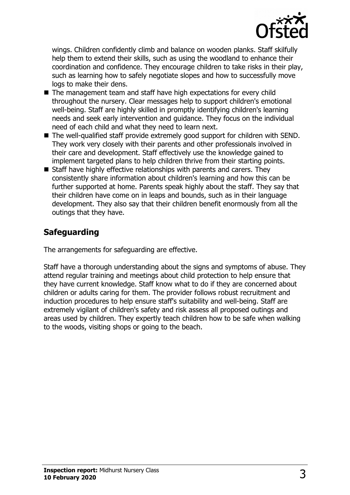

wings. Children confidently climb and balance on wooden planks. Staff skilfully help them to extend their skills, such as using the woodland to enhance their coordination and confidence. They encourage children to take risks in their play, such as learning how to safely negotiate slopes and how to successfully move logs to make their dens.

- $\blacksquare$  The management team and staff have high expectations for every child throughout the nursery. Clear messages help to support children's emotional well-being. Staff are highly skilled in promptly identifying children's learning needs and seek early intervention and guidance. They focus on the individual need of each child and what they need to learn next.
- $\blacksquare$  The well-qualified staff provide extremely good support for children with SEND. They work very closely with their parents and other professionals involved in their care and development. Staff effectively use the knowledge gained to implement targeted plans to help children thrive from their starting points.
- $\blacksquare$  Staff have highly effective relationships with parents and carers. They consistently share information about children's learning and how this can be further supported at home. Parents speak highly about the staff. They say that their children have come on in leaps and bounds, such as in their language development. They also say that their children benefit enormously from all the outings that they have.

## **Safeguarding**

The arrangements for safeguarding are effective.

Staff have a thorough understanding about the signs and symptoms of abuse. They attend regular training and meetings about child protection to help ensure that they have current knowledge. Staff know what to do if they are concerned about children or adults caring for them. The provider follows robust recruitment and induction procedures to help ensure staff's suitability and well-being. Staff are extremely vigilant of children's safety and risk assess all proposed outings and areas used by children. They expertly teach children how to be safe when walking to the woods, visiting shops or going to the beach.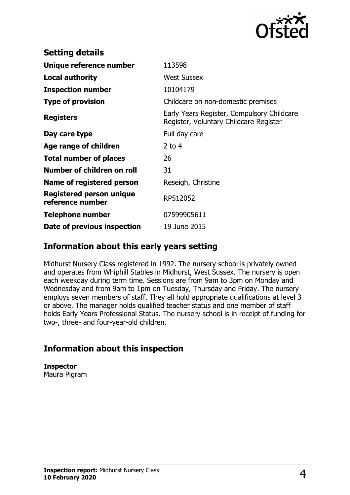

| <b>Setting details</b>                              |                                                                                      |
|-----------------------------------------------------|--------------------------------------------------------------------------------------|
| Unique reference number                             | 113598                                                                               |
| Local authority                                     | <b>West Sussex</b>                                                                   |
| <b>Inspection number</b>                            | 10104179                                                                             |
| <b>Type of provision</b>                            | Childcare on non-domestic premises                                                   |
| <b>Registers</b>                                    | Early Years Register, Compulsory Childcare<br>Register, Voluntary Childcare Register |
| Day care type                                       | Full day care                                                                        |
| Age range of children                               | 2 to $4$                                                                             |
| <b>Total number of places</b>                       | 26                                                                                   |
| Number of children on roll                          | 31                                                                                   |
| Name of registered person                           | Reseigh, Christine                                                                   |
| <b>Registered person unique</b><br>reference number | RP512052                                                                             |
| <b>Telephone number</b>                             | 07599905611                                                                          |
| Date of previous inspection                         | 19 June 2015                                                                         |

## **Information about this early years setting**

Midhurst Nursery Class registered in 1992. The nursery school is privately owned and operates from Whiphill Stables in Midhurst, West Sussex. The nursery is open each weekday during term time. Sessions are from 9am to 3pm on Monday and Wednesday and from 9am to 1pm on Tuesday, Thursday and Friday. The nursery employs seven members of staff. They all hold appropriate qualifications at level 3 or above. The manager holds qualified teacher status and one member of staff holds Early Years Professional Status. The nursery school is in receipt of funding for two-, three- and four-year-old children.

# **Information about this inspection**

**Inspector** Maura Pigram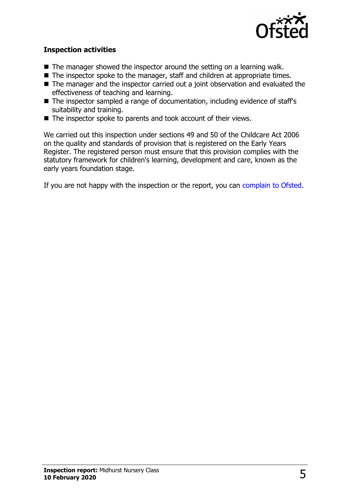

#### **Inspection activities**

- $\blacksquare$  The manager showed the inspector around the setting on a learning walk.
- $\blacksquare$  The inspector spoke to the manager, staff and children at appropriate times.
- $\blacksquare$  The manager and the inspector carried out a joint observation and evaluated the effectiveness of teaching and learning.
- $\blacksquare$  The inspector sampled a range of documentation, including evidence of staff's suitability and training.
- $\blacksquare$  The inspector spoke to parents and took account of their views.

We carried out this inspection under sections 49 and 50 of the Childcare Act 2006 on the quality and standards of provision that is registered on the Early Years Register. The registered person must ensure that this provision complies with the statutory framework for children's learning, development and care, known as the early years foundation stage.

If you are not happy with the inspection or the report, you can [complain to Ofsted.](http://www.gov.uk/complain-ofsted-report)